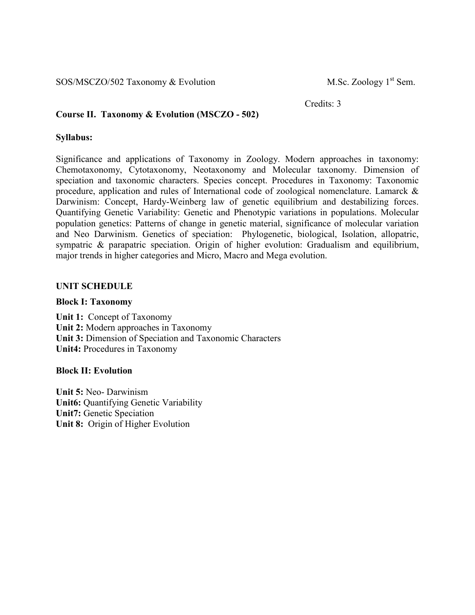SOS/MSCZO/502 Taxonomy & Evolution M.Sc. Zoology 1<sup>st</sup> Sem.

Credits: 3

### **Course II. Taxonomy & Evolution (MSCZO - 502)**

#### **Syllabus:**

Significance and applications of Taxonomy in Zoology. Modern approaches in taxonomy: Chemotaxonomy, Cytotaxonomy, Neotaxonomy and Molecular taxonomy. Dimension of speciation and taxonomic characters. Species concept. Procedures in Taxonomy: Taxonomic procedure, application and rules of International code of zoological nomenclature. Lamarck & Darwinism: Concept, Hardy-Weinberg law of genetic equilibrium and destabilizing forces. Quantifying Genetic Variability: Genetic and Phenotypic variations in populations. Molecular population genetics: Patterns of change in genetic material, significance of molecular variation and Neo Darwinism. Genetics of speciation: Phylogenetic, biological, Isolation, allopatric, sympatric & parapatric speciation. Origin of higher evolution: Gradualism and equilibrium, major trends in higher categories and Micro, Macro and Mega evolution.

#### **UNIT SCHEDULE**

#### **Block I: Taxonomy**

**Unit 1:** Concept of Taxonomy **Unit 2:** Modern approaches in Taxonomy **Unit 3:** Dimension of Speciation and Taxonomic Characters **Unit4:** Procedures in Taxonomy

#### **Block II: Evolution**

**Unit 5:** Neo- Darwinism **Unit6:** Quantifying Genetic Variability **Unit7:** Genetic Speciation **Unit 8:** Origin of Higher Evolution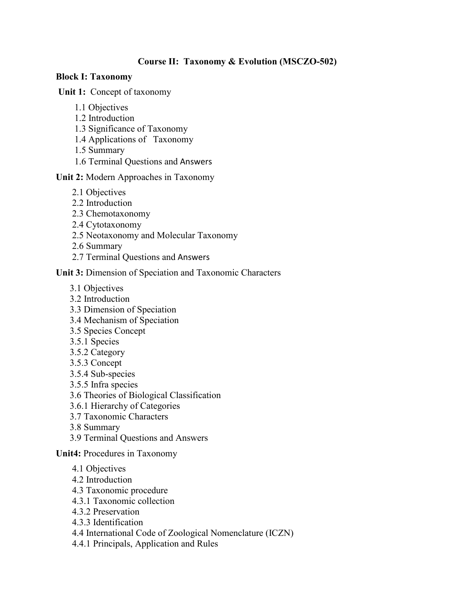# **Course II: Taxonomy & Evolution (MSCZO-502)**

# **Block I: Taxonomy**

 **Unit 1:** Concept of taxonomy

- 1.1 Objectives
- 1.2 Introduction
- 1.3 Significance of Taxonomy
- 1.4 Applications of Taxonomy
- 1.5 Summary
- 1.6 Terminal Questions and Answers

### **Unit 2:** Modern Approaches in Taxonomy

- 2.1 Objectives
- 2.2 Introduction
- 2.3 Chemotaxonomy
- 2.4 Cytotaxonomy
- 2.5 Neotaxonomy and Molecular Taxonomy
- 2.6 Summary
- 2.7 Terminal Questions and Answers

### **Unit 3:** Dimension of Speciation and Taxonomic Characters

- 3.1 Objectives
- 3.2 Introduction
- 3.3 Dimension of Speciation
- 3.4 Mechanism of Speciation
- 3.5 Species Concept
- 3.5.1 Species
- 3.5.2 Category
- 3.5.3 Concept
- 3.5.4 Sub-species
- 3.5.5 Infra species
- 3.6 Theories of Biological Classification
- 3.6.1 Hierarchy of Categories
- 3.7 Taxonomic Characters
- 3.8 Summary
- 3.9 Terminal Questions and Answers

**Unit4:** Procedures in Taxonomy

- 4.1 Objectives
- 4.2 Introduction
- 4.3 Taxonomic procedure
- 4.3.1 Taxonomic collection
- 4.3.2 Preservation
- 4.3.3 Identification
- 4.4 International Code of Zoological Nomenclature (ICZN)
- 4.4.1 Principals, Application and Rules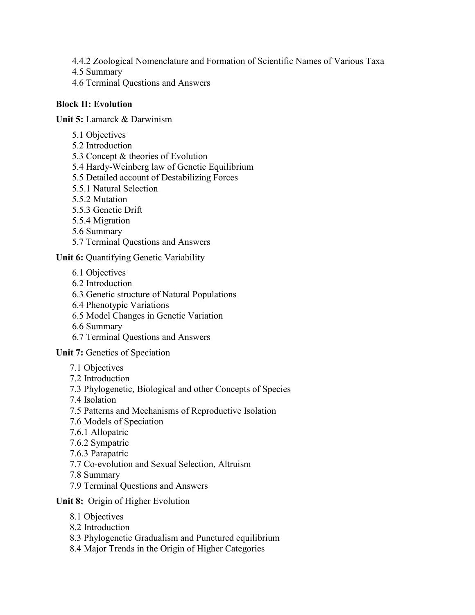- 4.4.2 Zoological Nomenclature and Formation of Scientific Names of Various Taxa
- 4.5 Summary
- 4.6 Terminal Questions and Answers

# **Block II: Evolution**

**Unit 5:** Lamarck & Darwinism

- 5.1 Objectives
- 5.2 Introduction
- 5.3 Concept & theories of Evolution
- 5.4 Hardy-Weinberg law of Genetic Equilibrium
- 5.5 Detailed account of Destabilizing Forces
- 5.5.1 Natural Selection
- 5.5.2 Mutation
- 5.5.3 Genetic Drift
- 5.5.4 Migration
- 5.6 Summary
- 5.7 Terminal Questions and Answers

**Unit 6:** Quantifying Genetic Variability

- 6.1 Objectives
- 6.2 Introduction
- 6.3 Genetic structure of Natural Populations
- 6.4 Phenotypic Variations
- 6.5 Model Changes in Genetic Variation
- 6.6 Summary
- 6.7 Terminal Questions and Answers

**Unit 7:** Genetics of Speciation

- 7.1 Objectives
- 7.2 Introduction
- 7.3 Phylogenetic, Biological and other Concepts of Species
- 7.4 Isolation
- 7.5 Patterns and Mechanisms of Reproductive Isolation
- 7.6 Models of Speciation
- 7.6.1 Allopatric
- 7.6.2 Sympatric
- 7.6.3 Parapatric
- 7.7 Co-evolution and Sexual Selection, Altruism
- 7.8 Summary
- 7.9 Terminal Questions and Answers

## **Unit 8:** Origin of Higher Evolution

- 8.1 Objectives
- 8.2 Introduction
- 8.3 Phylogenetic Gradualism and Punctured equilibrium
- 8.4 Major Trends in the Origin of Higher Categories